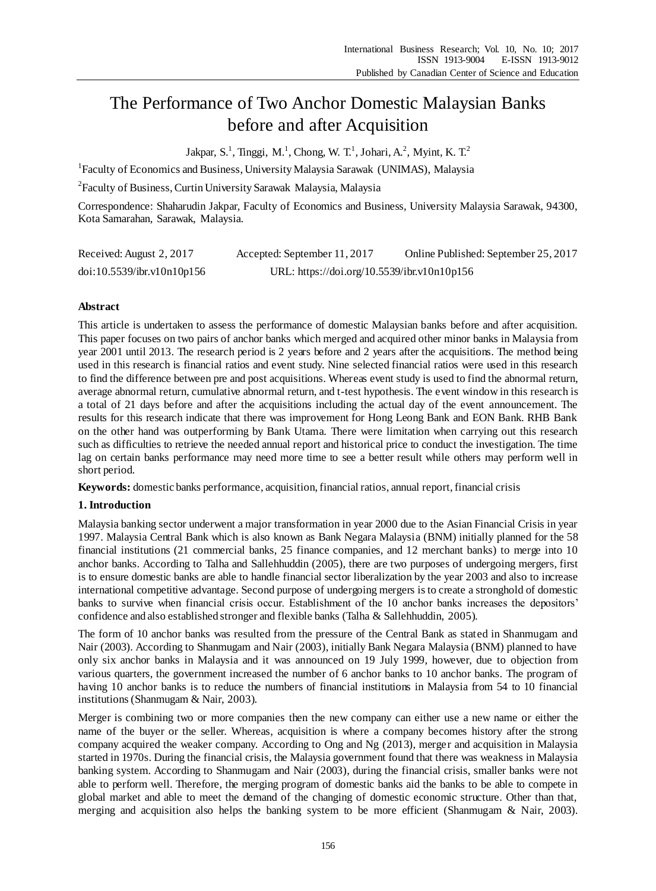# The Performance of Two Anchor Domestic Malaysian Banks before and after Acquisition

Jakpar, S.<sup>1</sup>, Tinggi, M.<sup>1</sup>, Chong, W. T.<sup>1</sup>, Johari, A.<sup>2</sup>, Myint, K. T.<sup>2</sup>

<sup>1</sup>Faculty of Economics and Business, University Malaysia Sarawak (UNIMAS), Malaysia

<sup>2</sup> Faculty of Business, Curtin University Sarawak Malaysia, Malaysia

Correspondence: Shaharudin Jakpar, Faculty of Economics and Business, University Malaysia Sarawak, 94300, Kota Samarahan, Sarawak, Malaysia.

| Received: August 2, 2017   | Accepted: September 11, 2017                | Online Published: September 25, 2017 |
|----------------------------|---------------------------------------------|--------------------------------------|
| doi:10.5539/ibr.v10n10p156 | URL: https://doi.org/10.5539/ibr.v10n10p156 |                                      |

# **Abstract**

This article is undertaken to assess the performance of domestic Malaysian banks before and after acquisition. This paper focuses on two pairs of anchor banks which merged and acquired other minor banks in Malaysia from year 2001 until 2013. The research period is 2 years before and 2 years after the acquisitions. The method being used in this research is financial ratios and event study. Nine selected financial ratios were used in this research to find the difference between pre and post acquisitions. Whereas event study is used to find the abnormal return, average abnormal return, cumulative abnormal return, and t-test hypothesis. The event window in this research is a total of 21 days before and after the acquisitions including the actual day of the event announcement. The results for this research indicate that there was improvement for Hong Leong Bank and EON Bank. RHB Bank on the other hand was outperforming by Bank Utama. There were limitation when carrying out this research such as difficulties to retrieve the needed annual report and historical price to conduct the investigation. The time lag on certain banks performance may need more time to see a better result while others may perform well in short period.

**Keywords:** domestic banks performance, acquisition, financial ratios, annual report, financial crisis

# **1. Introduction**

Malaysia banking sector underwent a major transformation in year 2000 due to the Asian Financial Crisis in year 1997. Malaysia Central Bank which is also known as Bank Negara Malaysia (BNM) initially planned for the 58 financial institutions (21 commercial banks, 25 finance companies, and 12 merchant banks) to merge into 10 anchor banks. According to Talha and Sallehhuddin (2005), there are two purposes of undergoing mergers, first is to ensure domestic banks are able to handle financial sector liberalization by the year 2003 and also to increase international competitive advantage. Second purpose of undergoing mergers is to create a stronghold of domestic banks to survive when financial crisis occur. Establishment of the 10 anchor banks increases the depositors' confidence and also established stronger and flexible banks (Talha & Sallehhuddin, 2005).

The form of 10 anchor banks was resulted from the pressure of the Central Bank as stated in Shanmugam and Nair (2003). According to Shanmugam and Nair (2003), initially Bank Negara Malaysia (BNM) planned to have only six anchor banks in Malaysia and it was announced on 19 July 1999, however, due to objection from various quarters, the government increased the number of 6 anchor banks to 10 anchor banks. The program of having 10 anchor banks is to reduce the numbers of financial institutions in Malaysia from 54 to 10 financial institutions (Shanmugam & Nair, 2003).

Merger is combining two or more companies then the new company can either use a new name or either the name of the buyer or the seller. Whereas, acquisition is where a company becomes history after the strong company acquired the weaker company. According to Ong and Ng (2013), merger and acquisition in Malaysia started in 1970s. During the financial crisis, the Malaysia government found that there was weakness in Malaysia banking system. According to Shanmugam and Nair (2003), during the financial crisis, smaller banks were not able to perform well. Therefore, the merging program of domestic banks aid the banks to be able to compete in global market and able to meet the demand of the changing of domestic economic structure. Other than that, merging and acquisition also helps the banking system to be more efficient (Shanmugam & Nair, 2003).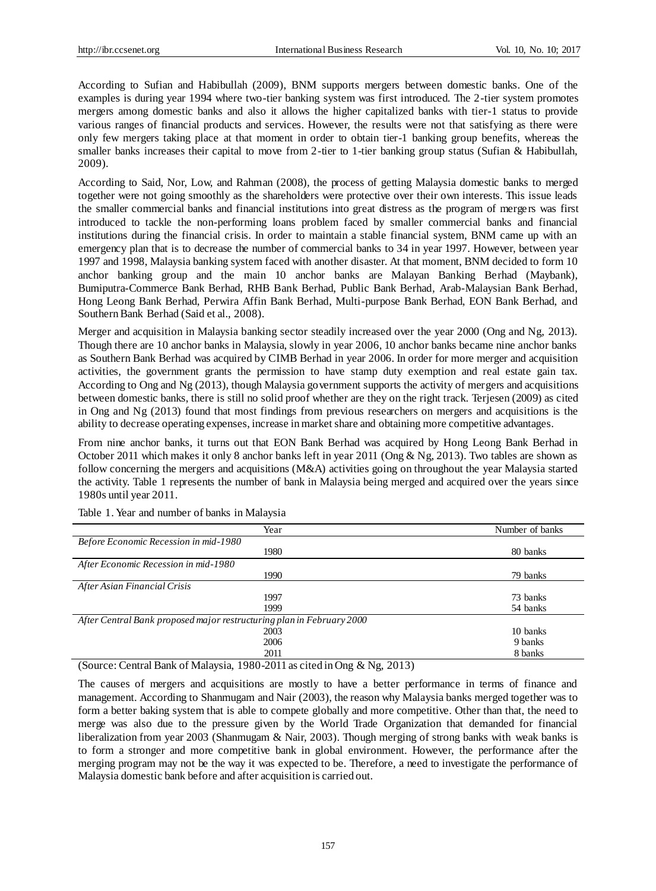According to Sufian and Habibullah (2009), BNM supports mergers between domestic banks. One of the examples is during year 1994 where two-tier banking system was first introduced. The 2-tier system promotes mergers among domestic banks and also it allows the higher capitalized banks with tier-1 status to provide various ranges of financial products and services. However, the results were not that satisfying as there were only few mergers taking place at that moment in order to obtain tier-1 banking group benefits, whereas the smaller banks increases their capital to move from 2-tier to 1-tier banking group status (Sufian & Habibullah, 2009).

According to Said, Nor, Low, and Rahman (2008), the process of getting Malaysia domestic banks to merged together were not going smoothly as the shareholders were protective over their own interests. This issue leads the smaller commercial banks and financial institutions into great distress as the program of mergers was first introduced to tackle the non-performing loans problem faced by smaller commercial banks and financial institutions during the financial crisis. In order to maintain a stable financial system, BNM came up with an emergency plan that is to decrease the number of commercial banks to 34 in year 1997. However, between year 1997 and 1998, Malaysia banking system faced with another disaster. At that moment, BNM decided to form 10 anchor banking group and the main 10 anchor banks are Malayan Banking Berhad (Maybank), Bumiputra-Commerce Bank Berhad, RHB Bank Berhad, Public Bank Berhad, Arab-Malaysian Bank Berhad, Hong Leong Bank Berhad, Perwira Affin Bank Berhad, Multi-purpose Bank Berhad, EON Bank Berhad, and Southern Bank Berhad (Said et al., 2008).

Merger and acquisition in Malaysia banking sector steadily increased over the year 2000 (Ong and Ng, 2013). Though there are 10 anchor banks in Malaysia, slowly in year 2006, 10 anchor banks became nine anchor banks as Southern Bank Berhad was acquired by CIMB Berhad in year 2006. In order for more merger and acquisition activities, the government grants the permission to have stamp duty exemption and real estate gain tax. According to Ong and Ng (2013), though Malaysia government supports the activity of mergers and acquisitions between domestic banks, there is still no solid proof whether are they on the right track. Terjesen (2009) as cited in Ong and Ng (2013) found that most findings from previous researchers on mergers and acquisitions is the ability to decrease operating expenses, increase in market share and obtaining more competitive advantages.

From nine anchor banks, it turns out that EON Bank Berhad was acquired by Hong Leong Bank Berhad in October 2011 which makes it only 8 anchor banks left in year 2011 (Ong & Ng, 2013). Two tables are shown as follow concerning the mergers and acquisitions (M&A) activities going on throughout the year Malaysia started the activity. Table 1 represents the number of bank in Malaysia being merged and acquired over the years since 1980s until year 2011.

|                                       | Year                                                                  | Number of banks |
|---------------------------------------|-----------------------------------------------------------------------|-----------------|
|                                       |                                                                       |                 |
| Before Economic Recession in mid-1980 |                                                                       |                 |
|                                       | 1980                                                                  | 80 banks        |
| After Economic Recession in mid-1980  |                                                                       |                 |
|                                       | 1990                                                                  | 79 banks        |
| After Asian Financial Crisis          |                                                                       |                 |
|                                       | 1997                                                                  | 73 banks        |
|                                       | 1999                                                                  | 54 banks        |
|                                       | After Central Bank proposed major restructuring plan in February 2000 |                 |
|                                       | 2003                                                                  | 10 banks        |
|                                       | 2006                                                                  | 9 banks         |
|                                       | 2011                                                                  | 8 banks         |
|                                       |                                                                       |                 |

Table 1. Year and number of banks in Malaysia

(Source: Central Bank of Malaysia, 1980-2011 as cited in Ong & Ng, 2013)

The causes of mergers and acquisitions are mostly to have a better performance in terms of finance and management. According to Shanmugam and Nair (2003), the reason why Malaysia banks merged together was to form a better baking system that is able to compete globally and more competitive. Other than that, the need to merge was also due to the pressure given by the World Trade Organization that demanded for financial liberalization from year 2003 (Shanmugam & Nair, 2003). Though merging of strong banks with weak banks is to form a stronger and more competitive bank in global environment. However, the performance after the merging program may not be the way it was expected to be. Therefore, a need to investigate the performance of Malaysia domestic bank before and after acquisition is carried out.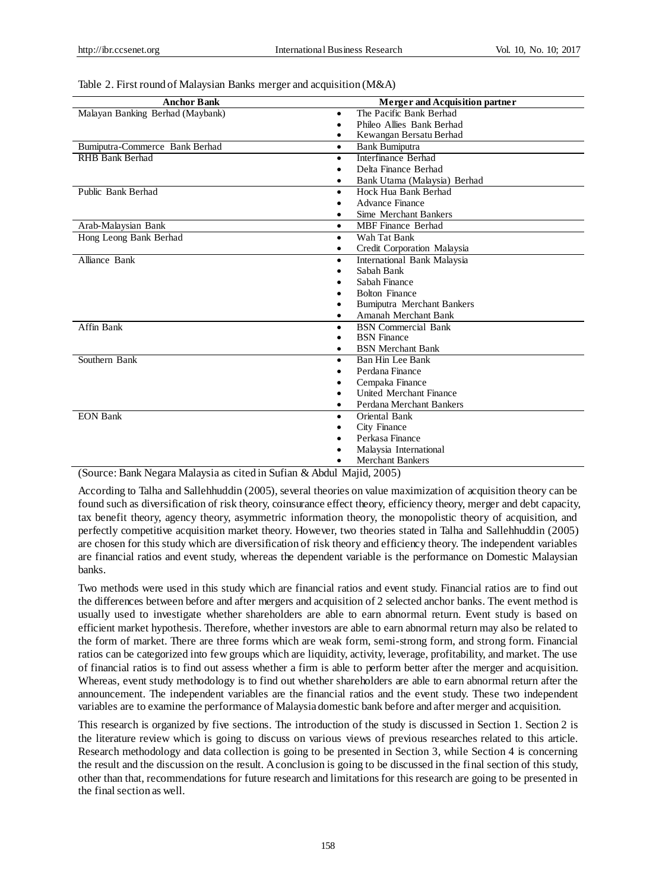| <b>Anchor Bank</b>               | <b>Merger and Acquisition partner</b>                            |
|----------------------------------|------------------------------------------------------------------|
| Malayan Banking Berhad (Maybank) | The Pacific Bank Berhad<br>$\bullet$                             |
|                                  | Phileo Allies Bank Berhad<br>$\bullet$                           |
|                                  | Kewangan Bersatu Berhad                                          |
| Bumiputra-Commerce Bank Berhad   |                                                                  |
| <b>RHB</b> Bank Berhad           | <b>Bank Bumiputra</b><br>$\bullet$<br><b>Interfinance Berhad</b> |
|                                  | $\bullet$<br>Delta Finance Berhad                                |
|                                  | $\bullet$                                                        |
| Public Bank Berhad               | Bank Utama (Malaysia) Berhad<br>٠<br>Hock Hua Bank Berhad        |
|                                  | $\bullet$                                                        |
|                                  | <b>Advance Finance</b>                                           |
|                                  | Sime Merchant Bankers<br>$\bullet$                               |
| Arab-Malaysian Bank              | <b>MBF</b> Finance Berhad<br>$\bullet$                           |
| Hong Leong Bank Berhad           | Wah Tat Bank<br>$\bullet$                                        |
|                                  | Credit Corporation Malaysia<br>$\bullet$                         |
| Alliance Bank                    | International Bank Malaysia<br>$\bullet$                         |
|                                  | Sabah Bank                                                       |
|                                  | Sabah Finance                                                    |
|                                  | <b>Bolton Finance</b>                                            |
|                                  | <b>Bumiputra Merchant Bankers</b>                                |
|                                  | Amanah Merchant Bank                                             |
| Affin Bank                       | <b>BSN</b> Commercial Bank<br>$\bullet$                          |
|                                  | <b>BSN</b> Finance                                               |
|                                  | <b>BSN</b> Merchant Bank<br>٠                                    |
| Southern Bank                    | Ban Hin Lee Bank<br>$\bullet$                                    |
|                                  | Perdana Finance                                                  |
|                                  | Cempaka Finance                                                  |
|                                  | <b>United Merchant Finance</b>                                   |
|                                  | Perdana Merchant Bankers<br>$\bullet$                            |
| <b>EON Bank</b>                  | Oriental Bank                                                    |
|                                  | City Finance                                                     |
|                                  | Perkasa Finance                                                  |
|                                  | Malaysia International                                           |
|                                  | <b>Merchant Bankers</b>                                          |

#### Table 2. First round of Malaysian Banks merger and acquisition (M&A)

(Source: Bank Negara Malaysia as cited in Sufian & Abdul Majid, 2005)

According to Talha and Sallehhuddin (2005), several theories on value maximization of acquisition theory can be found such as diversification of risk theory, coinsurance effect theory, efficiency theory, merger and debt capacity, tax benefit theory, agency theory, asymmetric information theory, the monopolistic theory of acquisition, and perfectly competitive acquisition market theory. However, two theories stated in Talha and Sallehhuddin (2005) are chosen for this study which are diversification of risk theory and efficiency theory. The independent variables are financial ratios and event study, whereas the dependent variable is the performance on Domestic Malaysian banks.

Two methods were used in this study which are financial ratios and event study. Financial ratios are to find out the differences between before and after mergers and acquisition of 2 selected anchor banks. The event method is usually used to investigate whether shareholders are able to earn abnormal return. Event study is based on efficient market hypothesis. Therefore, whether investors are able to earn abnormal return may also be related to the form of market. There are three forms which are weak form, semi-strong form, and strong form. Financial ratios can be categorized into few groups which are liquidity, activity, leverage, profitability, and market. The use of financial ratios is to find out assess whether a firm is able to perform better after the merger and acquisition. Whereas, event study methodology is to find out whether shareholders are able to earn abnormal return after the announcement. The independent variables are the financial ratios and the event study. These two independent variables are to examine the performance of Malaysia domestic bank before and after merger and acquisition.

This research is organized by five sections. The introduction of the study is discussed in Section 1. Section 2 is the literature review which is going to discuss on various views of previous researches related to this article. Research methodology and data collection is going to be presented in Section 3, while Section 4 is concerning the result and the discussion on the result. A conclusion is going to be discussed in the final section of this study, other than that, recommendations for future research and limitations for this research are going to be presented in the final section as well.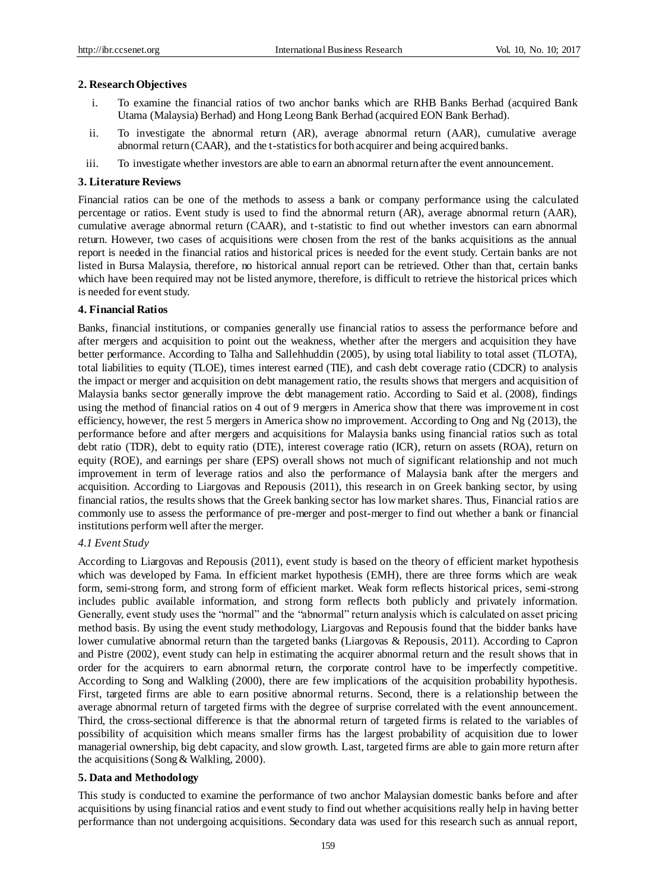#### **2. Research Objectives**

- i. To examine the financial ratios of two anchor banks which are RHB Banks Berhad (acquired Bank Utama (Malaysia) Berhad) and Hong Leong Bank Berhad (acquired EON Bank Berhad).
- ii. To investigate the abnormal return (AR), average abnormal return (AAR), cumulative average abnormal return (CAAR), and the t-statistics for both acquirer and being acquired banks.
- iii. To investigate whether investors are able to earn an abnormal return after the event announcement.

#### **3. Literature Reviews**

Financial ratios can be one of the methods to assess a bank or company performance using the calculated percentage or ratios. Event study is used to find the abnormal return (AR), average abnormal return (AAR), cumulative average abnormal return (CAAR), and t-statistic to find out whether investors can earn abnormal return. However, two cases of acquisitions were chosen from the rest of the banks acquisitions as the annual report is needed in the financial ratios and historical prices is needed for the event study. Certain banks are not listed in Bursa Malaysia, therefore, no historical annual report can be retrieved. Other than that, certain banks which have been required may not be listed anymore, therefore, is difficult to retrieve the historical prices which is needed for event study.

#### **4. Financial Ratios**

Banks, financial institutions, or companies generally use financial ratios to assess the performance before and after mergers and acquisition to point out the weakness, whether after the mergers and acquisition they have better performance. According to Talha and Sallehhuddin (2005), by using total liability to total asset (TLOTA), total liabilities to equity (TLOE), times interest earned (TIE), and cash debt coverage ratio (CDCR) to analysis the impact or merger and acquisition on debt management ratio, the results shows that mergers and acquisition of Malaysia banks sector generally improve the debt management ratio. According to Said et al. (2008), findings using the method of financial ratios on 4 out of 9 mergers in America show that there was improvement in cost efficiency, however, the rest 5 mergers in America show no improvement. According to Ong and Ng (2013), the performance before and after mergers and acquisitions for Malaysia banks using financial ratios such as total debt ratio (TDR), debt to equity ratio (DTE), interest coverage ratio (ICR), return on assets (ROA), return on equity (ROE), and earnings per share (EPS) overall shows not much of significant relationship and not much improvement in term of leverage ratios and also the performance of Malaysia bank after the mergers and acquisition. According to Liargovas and Repousis (2011), this research in on Greek banking sector, by using financial ratios, the results shows that the Greek banking sector has low market shares. Thus, Financial ratios are commonly use to assess the performance of pre-merger and post-merger to find out whether a bank or financial institutions perform well after the merger.

## *4.1 Event Study*

According to Liargovas and Repousis (2011), event study is based on the theory of efficient market hypothesis which was developed by Fama. In efficient market hypothesis (EMH), there are three forms which are weak form, semi-strong form, and strong form of efficient market. Weak form reflects historical prices, semi-strong includes public available information, and strong form reflects both publicly and privately information. Generally, event study uses the "normal" and the "abnormal" return analysis which is calculated on asset pricing method basis. By using the event study methodology, Liargovas and Repousis found that the bidder banks have lower cumulative abnormal return than the targeted banks (Liargovas & Repousis, 2011). According to Capron and Pistre (2002), event study can help in estimating the acquirer abnormal return and the result shows that in order for the acquirers to earn abnormal return, the corporate control have to be imperfectly competitive. According to Song and Walkling (2000), there are few implications of the acquisition probability hypothesis. First, targeted firms are able to earn positive abnormal returns. Second, there is a relationship between the average abnormal return of targeted firms with the degree of surprise correlated with the event announcement. Third, the cross-sectional difference is that the abnormal return of targeted firms is related to the variables of possibility of acquisition which means smaller firms has the largest probability of acquisition due to lower managerial ownership, big debt capacity, and slow growth. Last, targeted firms are able to gain more return after the acquisitions (Song & Walkling, 2000).

## **5. Data and Methodology**

This study is conducted to examine the performance of two anchor Malaysian domestic banks before and after acquisitions by using financial ratios and event study to find out whether acquisitions really help in having better performance than not undergoing acquisitions. Secondary data was used for this research such as annual report,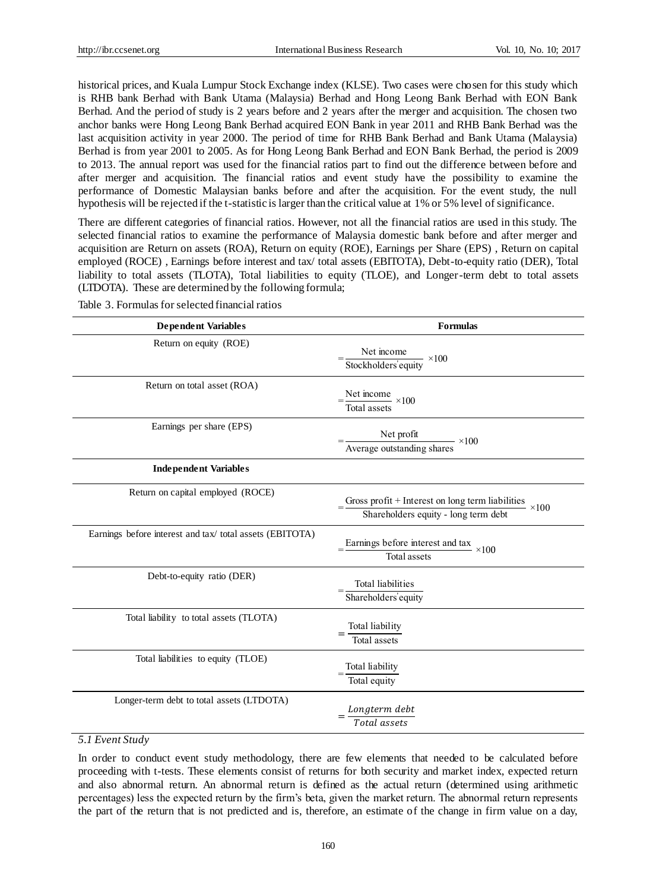historical prices, and Kuala Lumpur Stock Exchange index (KLSE). Two cases were chosen for this study which is RHB bank Berhad with Bank Utama (Malaysia) Berhad and Hong Leong Bank Berhad with EON Bank Berhad. And the period of study is 2 years before and 2 years after the merger and acquisition. The chosen two anchor banks were Hong Leong Bank Berhad acquired EON Bank in year 2011 and RHB Bank Berhad was the last acquisition activity in year 2000. The period of time for RHB Bank Berhad and Bank Utama (Malaysia) Berhad is from year 2001 to 2005. As for Hong Leong Bank Berhad and EON Bank Berhad, the period is 2009 to 2013. The annual report was used for the financial ratios part to find out the difference between before and after merger and acquisition. The financial ratios and event study have the possibility to examine the performance of Domestic Malaysian banks before and after the acquisition. For the event study, the null hypothesis will be rejected if the t-statistic is larger than the critical value at 1% or 5% level of significance.

There are different categories of financial ratios. However, not all the financial ratios are used in this study. The selected financial ratios to examine the performance of Malaysia domestic bank before and after merger and acquisition are Return on assets (ROA), Return on equity (ROE), Earnings per Share (EPS) , Return on capital employed (ROCE) , Earnings before interest and tax/ total assets (EBITOTA), Debt-to-equity ratio (DER), Total liability to total assets (TLOTA), Total liabilities to equity (TLOE), and Longer-term debt to total assets (LTDOTA). These are determined by the following formula;

| <b>Dependent Variables</b>                              | <b>Formulas</b>                                                                                       |  |  |
|---------------------------------------------------------|-------------------------------------------------------------------------------------------------------|--|--|
| Return on equity (ROE)                                  | Net income<br>Stockholders' equity $\times 100$                                                       |  |  |
| Return on total asset (ROA)                             | $=\frac{\text{Net income}}{\text{Total assets}} \times 100$                                           |  |  |
| Earnings per share (EPS)                                | Net profit<br>Average outstanding shares $\times 100$                                                 |  |  |
| <b>Independent Variables</b>                            |                                                                                                       |  |  |
| Return on capital employed (ROCE)                       | Gross profit + Interest on long term liabilities $\times 100$<br>Shareholders equity - long term debt |  |  |
| Earnings before interest and tax/total assets (EBITOTA) | Earnings before interest and tax $\times 100$<br>Total assets                                         |  |  |
| Debt-to-equity ratio (DER)                              | Total liabilities<br>Shareholders' equity                                                             |  |  |
| Total liability to total assets (TLOTA)                 | Total liability<br><b>Total</b> assets                                                                |  |  |
| Total liabilities to equity (TLOE)                      | Total liability<br>Total equity                                                                       |  |  |
| Longer-term debt to total assets (LTDOTA)               | $Longterm\ debt$<br>Total assets                                                                      |  |  |

Table 3. Formulas for selected financial ratios

## *5.1 Event Study*

In order to conduct event study methodology, there are few elements that needed to be calculated before proceeding with t-tests. These elements consist of returns for both security and market index, expected return and also abnormal return. An abnormal return is defined as the actual return (determined using arithmetic percentages) less the expected return by the firm's beta, given the market return. The abnormal return represents the part of the return that is not predicted and is, therefore, an estimate of the change in firm value on a day,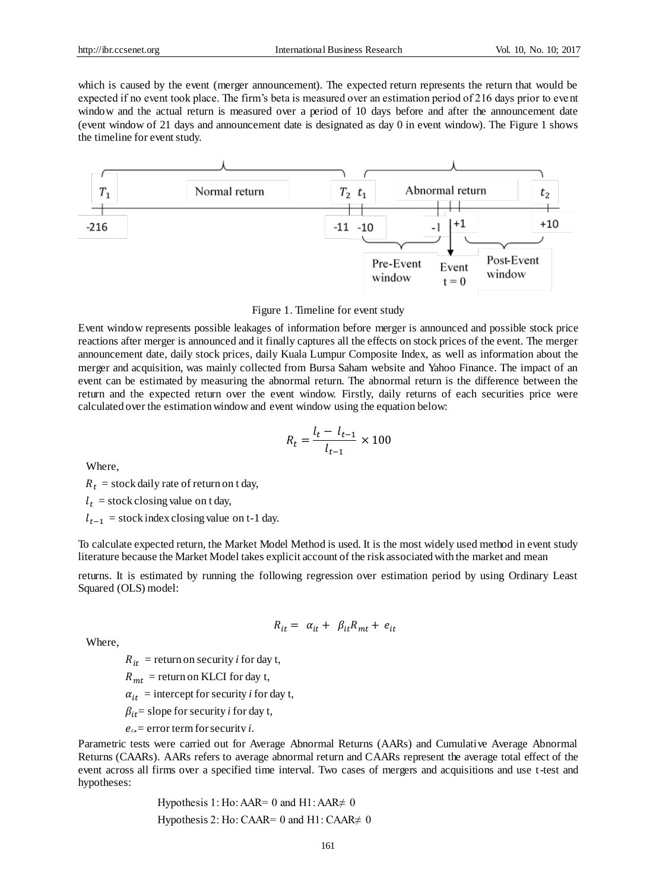which is caused by the event (merger announcement). The expected return represents the return that would be expected if no event took place. The firm's beta is measured over an estimation period of 216 days prior to event window and the actual return is measured over a period of 10 days before and after the announcement date (event window of 21 days and announcement date is designated as day 0 in event window). The Figure 1 shows the timeline for event study.





Event window represents possible leakages of information before merger is announced and possible stock price reactions after merger is announced and it finally captures all the effects on stock prices of the event. The merger announcement date, daily stock prices, daily Kuala Lumpur Composite Index, as well as information about the merger and acquisition, was mainly collected from Bursa Saham website and Yahoo Finance. The impact of an event can be estimated by measuring the abnormal return. The abnormal return is the difference between the return and the expected return over the event window. Firstly, daily returns of each securities price were calculated over the estimation window and event window using the equation below:

$$
R_t = \frac{l_t - l_{t-1}}{l_{t-1}} \times 100
$$

Where,

 $R_t$  = stock daily rate of return on t day,

 $l_t$  = stock closing value on t day,

 $l_{t-1}$  = stock index closing value on t-1 day.

To calculate expected return, the Market Model Method is used. It is the most widely used method in event study literature because the Market Model takes explicit account of the risk associated with the market and mean

returns. It is estimated by running the following regression over estimation period by using Ordinary Least Squared (OLS) model:

$$
R_{it} = \alpha_{it} + \beta_{it} R_{mt} + e_{it}
$$

Where,

 $R_{it}$  = return on security *i* for day t,

 $R_{mt}$  = return on KLCI for day t,

 $\alpha_{it}$  = intercept for security *i* for day t,

 $\beta_{it}$  = slope for security *i* for day t,

 $e_{it}$  error term for security *i*.

Parametric tests were carried out for Average Abnormal Returns (AARs) and Cumulative Average Abnormal Returns (CAARs). AARs refers to average abnormal return and CAARs represent the average total effect of the event across all firms over a specified time interval. Two cases of mergers and acquisitions and use t-test and hypotheses:

> Hypothesis 1: Ho: AAR= 0 and H1: AAR $\neq$  0 Hypothesis 2: Ho: CAAR= 0 and H1: CAAR $\neq$  0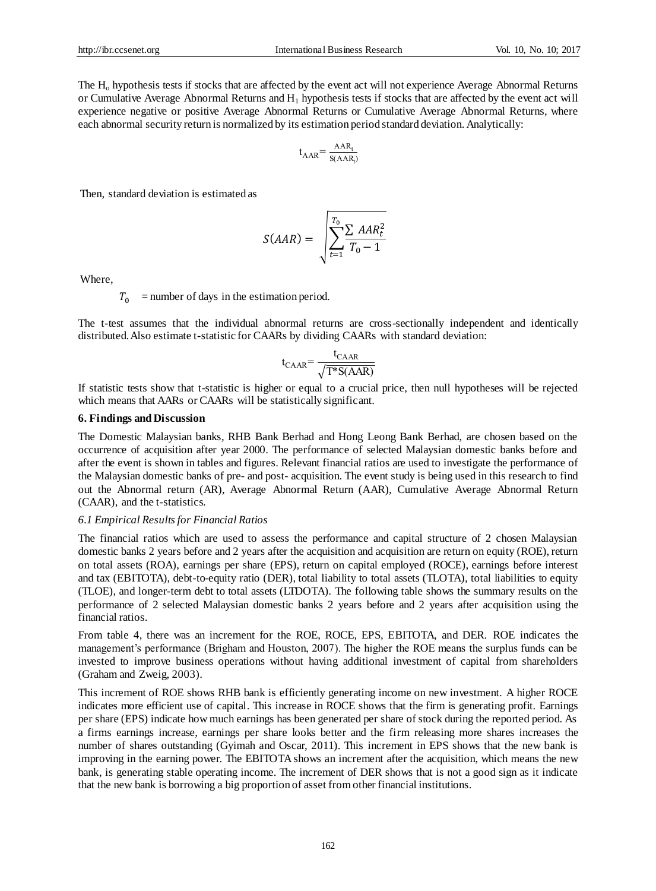The H<sub>o</sub> hypothesis tests if stocks that are affected by the event act will not experience Average Abnormal Returns or Cumulative Average Abnormal Returns and  $H_1$  hypothesis tests if stocks that are affected by the event act will experience negative or positive Average Abnormal Returns or Cumulative Average Abnormal Returns, where each abnormal security return is normalized by its estimation period standard deviation. Analytically:

$$
t_{AAR} = \frac{AAR_t}{S(AAR_t)}
$$

Then, standard deviation is estimated as

$$
S(AAR) = \sqrt{\sum_{t=1}^{T_0} \frac{\sum AAR_t^2}{T_0 - 1}}
$$

Where,

 $T_0$  = number of days in the estimation period.

The t-test assumes that the individual abnormal returns are cross-sectionally independent and identically distributed. Also estimate t-statistic for CAARs by dividing CAARs with standard deviation:

$$
t_{\text{CAAR}} = \frac{t_{\text{CAAR}}}{\sqrt{T^* S(\text{AAR})}}
$$

If statistic tests show that t-statistic is higher or equal to a crucial price, then null hypotheses will be rejected which means that AARs or CAARs will be statistically significant.

#### **6. Findings and Discussion**

The Domestic Malaysian banks, RHB Bank Berhad and Hong Leong Bank Berhad, are chosen based on the occurrence of acquisition after year 2000. The performance of selected Malaysian domestic banks before and after the event is shown in tables and figures. Relevant financial ratios are used to investigate the performance of the Malaysian domestic banks of pre- and post- acquisition. The event study is being used in this research to find out the Abnormal return (AR), Average Abnormal Return (AAR), Cumulative Average Abnormal Return (CAAR), and the t-statistics.

#### *6.1 Empirical Results for Financial Ratios*

The financial ratios which are used to assess the performance and capital structure of 2 chosen Malaysian domestic banks 2 years before and 2 years after the acquisition and acquisition are return on equity (ROE), return on total assets (ROA), earnings per share (EPS), return on capital employed (ROCE), earnings before interest and tax (EBITOTA), debt-to-equity ratio (DER), total liability to total assets (TLOTA), total liabilities to equity (TLOE), and longer-term debt to total assets (LTDOTA). The following table shows the summary results on the performance of 2 selected Malaysian domestic banks 2 years before and 2 years after acquisition using the financial ratios.

From table 4, there was an increment for the ROE, ROCE, EPS, EBITOTA, and DER. ROE indicates the management's performance (Brigham and Houston, 2007). The higher the ROE means the surplus funds can be invested to improve business operations without having additional investment of capital from shareholders (Graham and Zweig, 2003).

This increment of ROE shows RHB bank is efficiently generating income on new investment. A higher ROCE indicates more efficient use of capital. This increase in ROCE shows that the firm is generating profit. Earnings per share (EPS) indicate how much earnings has been generated per share of stock during the reported period. As a firms earnings increase, earnings per share looks better and the firm releasing more shares increases the number of shares outstanding (Gyimah and Oscar, 2011). This increment in EPS shows that the new bank is improving in the earning power. The EBITOTA shows an increment after the acquisition, which means the new bank, is generating stable operating income. The increment of DER shows that is not a good sign as it indicate that the new bank is borrowing a big proportion of asset from other financial institutions.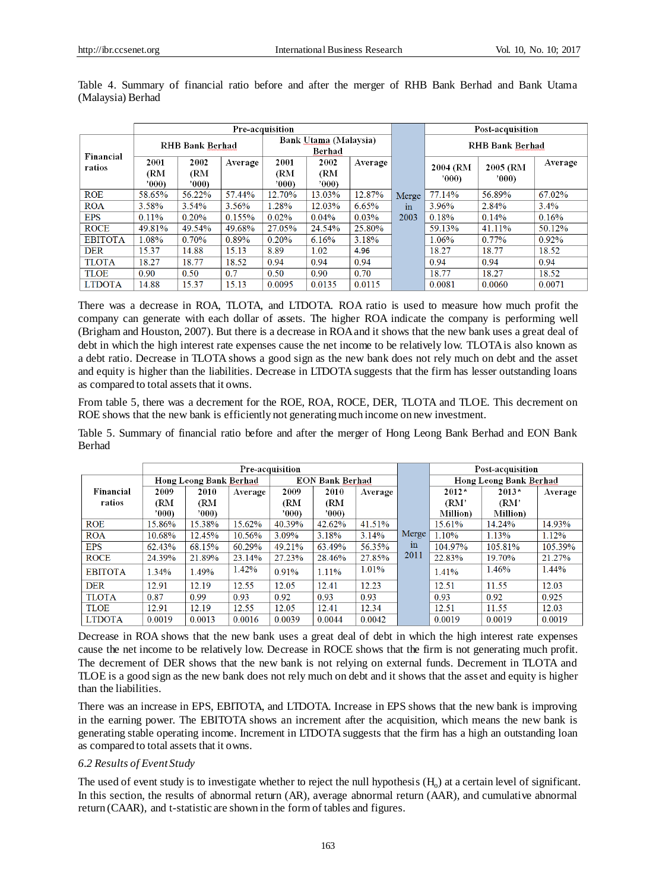|                |                      | Pre-acquisition      |         |                                 |                      |          |       |                  | Post-acquisition |         |                        |  |
|----------------|----------------------|----------------------|---------|---------------------------------|----------------------|----------|-------|------------------|------------------|---------|------------------------|--|
| Financial      | RHB Bank Berhad      |                      |         | Bank Utama (Malaysia)<br>Berhad |                      |          |       |                  |                  |         | <b>RHB Bank Berhad</b> |  |
| ratios         | 2001<br>(RM<br>7000) | 2002<br>(RM<br>7000) | Average | 2001<br>(RM<br>'000             | 2002<br>(RM<br>'000' | Average  |       | 2004 (RM<br>'000 | 2005 (RM<br>'000 | Average |                        |  |
| <b>ROE</b>     | 58.65%               | 56.22%               | 57.44%  | 12.70%                          | 13.03%               | 12.87%   | Merge | 77.14%           | 56.89%           | 67.02%  |                        |  |
| <b>ROA</b>     | 3.58%                | $3.54\%$             | 3.56%   | 1.28%                           | 12.03%               | 6.65%    | in    | 3.96%            | 2.84%            | 3.4%    |                        |  |
| <b>EPS</b>     | $0.11\%$             | 0.20%                | 0.155%  | 0.02%                           | $0.04\%$             | $0.03\%$ | 2003  | 0.18%            | 0.14%            | 0.16%   |                        |  |
| <b>ROCE</b>    | 49.81%               | 49.54%               | 49.68%  | 27.05%                          | 24.54%               | 25.80%   |       | 59.13%           | 41.11%           | 50.12%  |                        |  |
| <b>EBITOTA</b> | 1.08%                | $0.70\%$             | 0.89%   | 0.20%                           | 6.16%                | 3.18%    |       | 1.06%            | $0.77\%$         | 0.92%   |                        |  |
| <b>DER</b>     | 15.37                | 14.88                | 15.13   | 8.89                            | 1.02                 | 4.96     |       | 18.27            | 18.77            | 18.52   |                        |  |
| <b>TLOTA</b>   | 18.27                | 18.77                | 18.52   | 0.94                            | 0.94                 | 0.94     |       | 0.94             | 0.94             | 0.94    |                        |  |
| <b>TLOE</b>    | 0.90                 | 0.50                 | 0.7     | 0.50                            | 0.90                 | 0.70     |       | 18.77            | 18.27            | 18.52   |                        |  |
| <b>LTDOTA</b>  | 14.88                | 15.37                | 15.13   | 0.0095                          | 0.0135               | 0.0115   |       | 0.0081           | 0.0060           | 0.0071  |                        |  |

Table 4. Summary of financial ratio before and after the merger of RHB Bank Berhad and Bank Utama (Malaysia) Berhad

There was a decrease in ROA, TLOTA, and LTDOTA. ROA ratio is used to measure how much profit the company can generate with each dollar of assets. The higher ROA indicate the company is performing well (Brigham and Houston, 2007). But there is a decrease in ROA and it shows that the new bank uses a great deal of debt in which the high interest rate expenses cause the net income to be relatively low. TLOTA is also known as a debt ratio. Decrease in TLOTA shows a good sign as the new bank does not rely much on debt and the asset and equity is higher than the liabilities. Decrease in LTDOTA suggests that the firm has lesser outstanding loans as compared to total assets that it owns.

From table 5, there was a decrement for the ROE, ROA, ROCE, DER, TLOTA and TLOE. This decrement on ROE shows that the new bank is efficiently not generating much income on new investment.

Table 5. Summary of financial ratio before and after the merger of Hong Leong Bank Berhad and EON Bank Berhad

|                |                        | Pre-acquisition |         |                        |        |         |                    |                  | Post-acquisition       |          |
|----------------|------------------------|-----------------|---------|------------------------|--------|---------|--------------------|------------------|------------------------|----------|
|                | Hong Leong Bank Berhad |                 |         | <b>EON Bank Berhad</b> |        |         |                    |                  | Hong Leong Bank Berhad |          |
| Financial      | 2009                   | 2010            | Average | 2009                   | 2010   | Average |                    | $2012*$          | $2013*$                | Average  |
| ratios         | (RM                    | (RM             |         | (RM                    | (RM    |         |                    | (RM'             | (RM'                   |          |
|                | 7000)                  | '000)           |         | '000'                  | '000)  |         |                    | <b>Million</b> ) | <b>Million</b> )       |          |
| <b>ROE</b>     | 15.86%                 | 15.38%          | 15.62%  | 40.39%                 | 42.62% | 41.51%  |                    | 15.61%           | 14.24%                 | 14.93%   |
| <b>ROA</b>     | 10.68%                 | 12.45%          | 10.56%  | 3.09%                  | 3.18%  | 3.14%   | Merge <sup>'</sup> | 1.10%            | 1.13%                  | $1.12\%$ |
| <b>EPS</b>     | 62.43%                 | 68.15%          | 60.29%  | 49.21%                 | 63.49% | 56.35%  | in                 | 104.97%          | 105.81%                | 105.39%  |
| <b>ROCE</b>    | 24.39%                 | 21.89%          | 23.14%  | 27.23%                 | 28.46% | 27.85%  | 2011               | 22.83%           | 19.70%                 | 21.27%   |
| <b>EBITOTA</b> | $1.34\%$               | 1.49%           | 1.42%   | 0.91%                  | 1.11%  | 1.01%   |                    | 1.41%            | 1.46%                  | 1.44%    |
| <b>DER</b>     | 12.91                  | 12.19           | 12.55   | 12.05                  | 12.41  | 12.23   |                    | 12.51            | 11.55                  | 12.03    |
| <b>TLOTA</b>   | 0.87                   | 0.99            | 0.93    | 0.92                   | 0.93   | 0.93    |                    | 0.93             | 0.92                   | 0.925    |
| <b>TLOE</b>    | 12.91                  | 12.19           | 12.55   | 12.05                  | 12.41  | 12.34   |                    | 12.51            | 11.55                  | 12.03    |
| <b>LTDOTA</b>  | 0.0019                 | 0.0013          | 0.0016  | 0.0039                 | 0.0044 | 0.0042  |                    | 0.0019           | 0.0019                 | 0.0019   |

Decrease in ROA shows that the new bank uses a great deal of debt in which the high interest rate expenses cause the net income to be relatively low. Decrease in ROCE shows that the firm is not generating much profit. The decrement of DER shows that the new bank is not relying on external funds. Decrement in TLOTA and TLOE is a good sign as the new bank does not rely much on debt and it shows that the asset and equity is higher than the liabilities.

There was an increase in EPS, EBITOTA, and LTDOTA. Increase in EPS shows that the new bank is improving in the earning power. The EBITOTA shows an increment after the acquisition, which means the new bank is generating stable operating income. Increment in LTDOTA suggests that the firm has a high an outstanding loan as compared to total assets that it owns.

## *6.2 Results of Event Study*

The used of event study is to investigate whether to reject the null hypothesis  $(H_0)$  at a certain level of significant. In this section, the results of abnormal return (AR), average abnormal return (AAR), and cumulative abnormal return (CAAR), and t-statistic are shown in the form of tables and figures.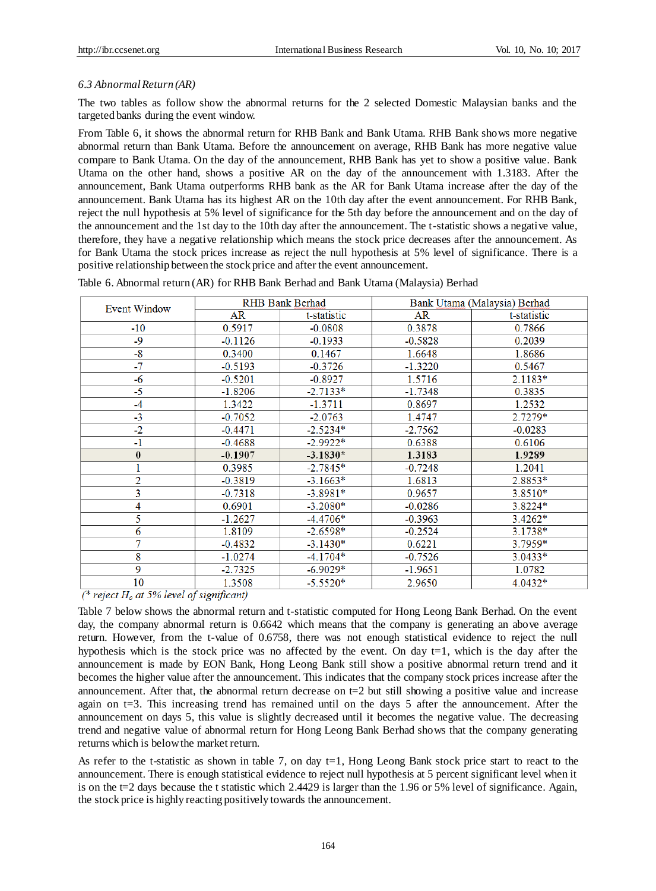## *6.3 Abnormal Return (AR)*

The two tables as follow show the abnormal returns for the 2 selected Domestic Malaysian banks and the targeted banks during the event window.

From Table 6, it shows the abnormal return for RHB Bank and Bank Utama. RHB Bank shows more negative abnormal return than Bank Utama. Before the announcement on average, RHB Bank has more negative value compare to Bank Utama. On the day of the announcement, RHB Bank has yet to show a positive value. Bank Utama on the other hand, shows a positive AR on the day of the announcement with 1.3183. After the announcement, Bank Utama outperforms RHB bank as the AR for Bank Utama increase after the day of the announcement. Bank Utama has its highest AR on the 10th day after the event announcement. For RHB Bank, reject the null hypothesis at 5% level of significance for the 5th day before the announcement and on the day of the announcement and the 1st day to the 10th day after the announcement. The t-statistic shows a negative value, therefore, they have a negative relationship which means the stock price decreases after the announcement. As for Bank Utama the stock prices increase as reject the null hypothesis at 5% level of significance. There is a positive relationship between the stock price and after the event announcement.

| Event Window                                   |                                                      | RHB Bank Berhad | Bank Utama (Malaysia) Berhad |             |  |
|------------------------------------------------|------------------------------------------------------|-----------------|------------------------------|-------------|--|
|                                                | AR                                                   | t-statistic     | AR                           | t-statistic |  |
| $-10$                                          | 0.5917                                               | $-0.0808$       | 0.3878                       | 0.7866      |  |
| -9                                             | $-0.1126$                                            | $-0.1933$       | $-0.5828$                    | 0.2039      |  |
| -8                                             | 0.3400                                               | 0.1467          | 1.6648                       | 1.8686      |  |
| $-7$                                           | $-0.5193$                                            | $-0.3726$       | $-1.3220$                    | 0.5467      |  |
| -6                                             | $-0.5201$                                            | $-0.8927$       | 1.5716                       | $2.1183*$   |  |
| $-5$                                           | $-1.8206$                                            | $-2.7133*$      | $-1.7348$                    | 0.3835      |  |
| $-4$                                           | 1.3422                                               | $-1.3711$       | 0.8697                       | 1.2532      |  |
| $-3$                                           | $-0.7052$                                            | $-2.0763$       | 1.4747                       | 2.7279*     |  |
| $-2$                                           | $-0.4471$                                            | $-2.5234*$      | $-2.7562$                    | $-0.0283$   |  |
| -1                                             | $-0.4688$                                            | $-2.9922*$      | 0.6388                       | 0.6106      |  |
| $\bf{0}$                                       | $-0.1907$                                            | $-3.1830*$      | 1.3183                       | 1.9289      |  |
|                                                | 0.3985                                               | $-2.7845*$      | $-0.7248$                    | 1.2041      |  |
| $\overline{2}$                                 | $-0.3819$                                            | $-3.1663*$      | 1.6813                       | 2.8853*     |  |
| 3                                              | $-0.7318$                                            | $-3.8981*$      | 0.9657                       | 3.8510*     |  |
| 4                                              | 0.6901                                               | $-3.2080*$      | $-0.0286$                    | 3.8224*     |  |
| 5                                              | $-1.2627$                                            | $-4.4706*$      | $-0.3963$                    | $3.4262*$   |  |
| 6                                              | 1.8109                                               | $-2.6598*$      | $-0.2524$                    | 3.1738*     |  |
| 7                                              | $-0.4832$                                            | $-3.1430*$      | 0.6221                       | $3.7959*$   |  |
| 8                                              | $-1.0274$                                            | $-4.1704*$      | $-0.7526$                    | 3.0433*     |  |
| 9                                              | $-2.7325$                                            | $-6.9029*$      | $-1.9651$                    | 1.0782      |  |
| 10<br>$-0.000$<br><b>Color</b><br>$\mathbf{r}$ | 1.3508<br>$\sim$ $\sim$<br>$\mathbf{z}$ $\mathbf{z}$ | $-5.5520*$      | 2.9650                       | 4.0432*     |  |

|  | Table 6. Abnormal return (AR) for RHB Bank Berhad and Bank Utama (Malaysia) Berhad |  |  |
|--|------------------------------------------------------------------------------------|--|--|
|--|------------------------------------------------------------------------------------|--|--|

(\* reject  $H_0$  at 5% level of significant)

Table 7 below shows the abnormal return and t-statistic computed for Hong Leong Bank Berhad. On the event day, the company abnormal return is 0.6642 which means that the company is generating an above average return. However, from the t-value of 0.6758, there was not enough statistical evidence to reject the null hypothesis which is the stock price was no affected by the event. On day  $t=1$ , which is the day after the announcement is made by EON Bank, Hong Leong Bank still show a positive abnormal return trend and it becomes the higher value after the announcement. This indicates that the company stock prices increase after the announcement. After that, the abnormal return decrease on  $t=2$  but still showing a positive value and increase again on t=3. This increasing trend has remained until on the days 5 after the announcement. After the announcement on days 5, this value is slightly decreased until it becomes the negative value. The decreasing trend and negative value of abnormal return for Hong Leong Bank Berhad shows that the company generating returns which is below the market return.

As refer to the t-statistic as shown in table 7, on day  $t=1$ , Hong Leong Bank stock price start to react to the announcement. There is enough statistical evidence to reject null hypothesis at 5 percent significant level when it is on the t=2 days because the t statistic which 2.4429 is larger than the 1.96 or 5% level of significance. Again, the stock price is highly reacting positively towards the announcement.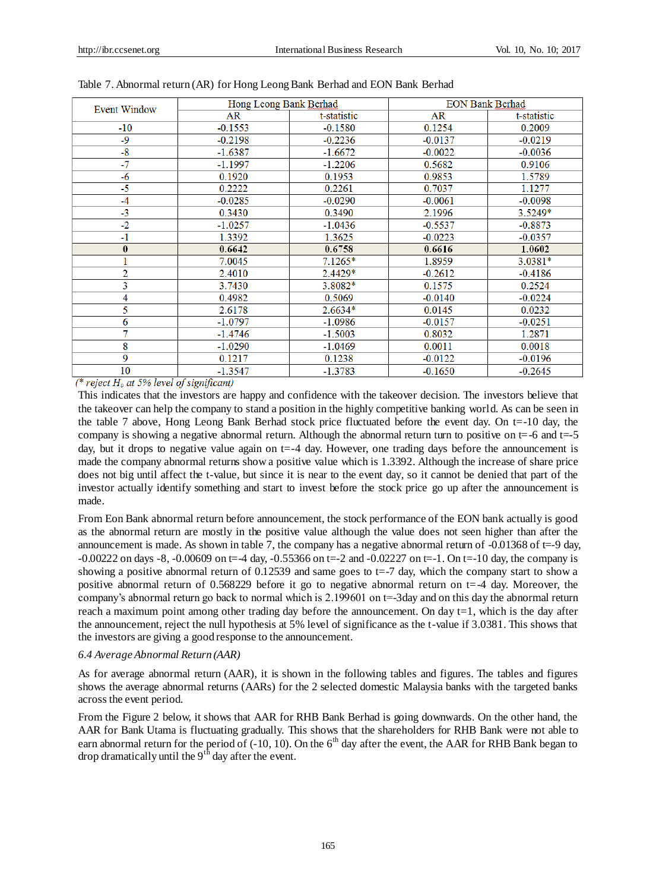|                                                                                              | Hong Leong Bank Berhad |             | <b>EON Bank Berhad</b> |             |
|----------------------------------------------------------------------------------------------|------------------------|-------------|------------------------|-------------|
| <b>Event Window</b><br>$-10$<br>-9<br>$-8$<br>-7<br>-6<br>$-5$<br>$-4$<br>$-3$<br>-2<br>$-1$ | AR                     | t-statistic | <b>AR</b>              | t-statistic |
|                                                                                              | $-0.1553$              | $-0.1580$   | 0.1254                 | 0.2009      |
|                                                                                              | $-0.2198$              | $-0.2236$   | $-0.0137$              | $-0.0219$   |
|                                                                                              | $-1.6387$              | $-1.6672$   | $-0.0022$              | $-0.0036$   |
|                                                                                              | $-1.1997$              | $-1.2206$   | 0.5682                 | 0.9106      |
|                                                                                              | 0.1920                 | 0.1953      | 0.9853                 | 1.5789      |
|                                                                                              | 0.2222                 | 0.2261      | 0.7037                 | 1.1277      |
|                                                                                              | $-0.0285$              | $-0.0290$   | $-0.0061$              | $-0.0098$   |
|                                                                                              | 0.3430                 | 0.3490      | 2.1996                 | 3.5249*     |
|                                                                                              | $-1.0257$              | $-1.0436$   | $-0.5537$              | $-0.8873$   |
|                                                                                              | 1.3392                 | 1.3625      | $-0.0223$              | $-0.0357$   |
| $\bf{0}$                                                                                     | 0.6642                 | 0.6758      | 0.6616                 | 1.0602      |
|                                                                                              | 7.0045                 | $7.1265*$   | 1.8959                 | 3.0381*     |
| 2                                                                                            | 2.4010                 | $2.4429*$   | $-0.2612$              | $-0.4186$   |
| 3                                                                                            | 3.7430                 | 3.8082*     | 0.1575                 | 0.2524      |
| 4                                                                                            | 0.4982                 | 0.5069      | $-0.0140$              | $-0.0224$   |
| 5                                                                                            | 2.6178                 | $2.6634*$   | 0.0145                 | 0.0232      |
| 6                                                                                            | $-1.0797$              | $-1.0986$   | $-0.0157$              | $-0.0251$   |
| 7                                                                                            | $-1.4746$              | $-1.5003$   | 0.8032                 | 1.2871      |
| 8                                                                                            | $-1.0290$              | $-1.0469$   | 0.0011                 | 0.0018      |
| 9                                                                                            | 0.1217                 | 0.1238      | $-0.0122$              | $-0.0196$   |
| 10                                                                                           | $-1.3547$              | $-1.3783$   | $-0.1650$              | $-0.2645$   |

(\* reject  $H_0$  at 5% level of significant)

This indicates that the investors are happy and confidence with the takeover decision. The investors believe that the takeover can help the company to stand a position in the highly competitive banking world. As can be seen in the table 7 above, Hong Leong Bank Berhad stock price fluctuated before the event day. On t=-10 day, the company is showing a negative abnormal return. Although the abnormal return turn to positive on  $t=$ -6 and  $t=$ -5 day, but it drops to negative value again on t=-4 day. However, one trading days before the announcement is made the company abnormal returns show a positive value which is 1.3392. Although the increase of share price does not big until affect the t-value, but since it is near to the event day, so it cannot be denied that part of the investor actually identify something and start to invest before the stock price go up after the announcement is made.

From Eon Bank abnormal return before announcement, the stock performance of the EON bank actually is good as the abnormal return are mostly in the positive value although the value does not seen higher than after the announcement is made. As shown in table 7, the company has a negative abnormal return of -0.01368 of t=-9 day,  $-0.00222$  on days  $-8$ ,  $-0.00609$  on t= $-4$  day,  $-0.55366$  on t= $-2$  and  $-0.02227$  on t= $-1$ . On t= $-10$  day, the company is showing a positive abnormal return of  $0.12539$  and same goes to t=-7 day, which the company start to show a positive abnormal return of 0.568229 before it go to negative abnormal return on t=-4 day. Moreover, the company's abnormal return go back to normal which is 2.199601 on t=-3day and on this day the abnormal return reach a maximum point among other trading day before the announcement. On day  $t=1$ , which is the day after the announcement, reject the null hypothesis at 5% level of significance as the t-value if 3.0381. This shows that the investors are giving a good response to the announcement.

#### *6.4 Average Abnormal Return (AAR)*

As for average abnormal return (AAR), it is shown in the following tables and figures. The tables and figures shows the average abnormal returns (AARs) for the 2 selected domestic Malaysia banks with the targeted banks across the event period.

From the Figure 2 below, it shows that AAR for RHB Bank Berhad is going downwards. On the other hand, the AAR for Bank Utama is fluctuating gradually. This shows that the shareholders for RHB Bank were not able to earn abnormal return for the period of (-10, 10). On the 6<sup>th</sup> day after the event, the AAR for RHB Bank began to drop dramatically until the  $9<sup>th</sup>$  day after the event.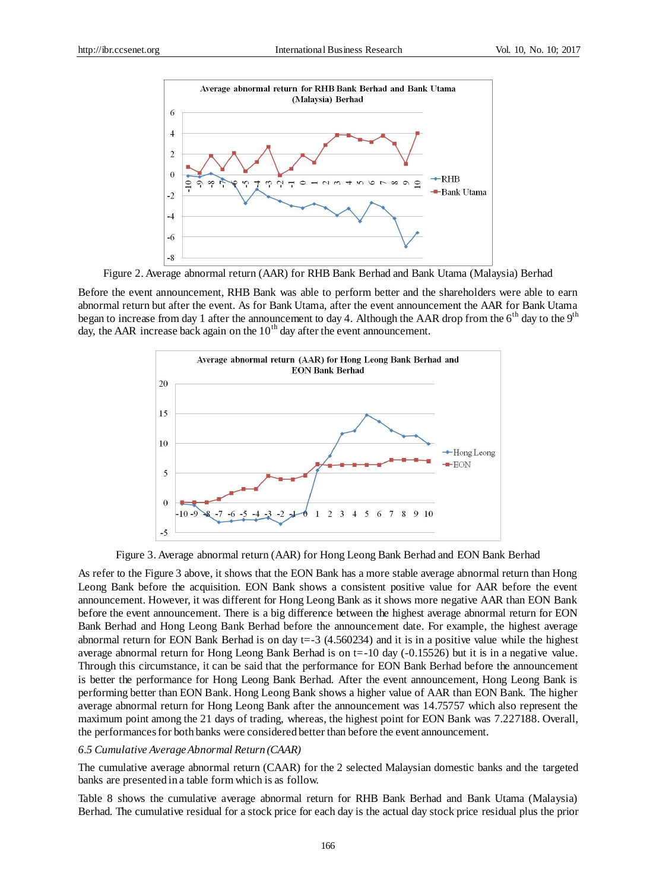

Figure 2. Average abnormal return (AAR) for RHB Bank Berhad and Bank Utama (Malaysia) Berhad

Before the event announcement, RHB Bank was able to perform better and the shareholders were able to earn abnormal return but after the event. As for Bank Utama, after the event announcement the AAR for Bank Utama began to increase from day 1 after the announcement to day 4. Although the AAR drop from the  $6<sup>th</sup>$  day to the  $9<sup>th</sup>$ day, the AAR increase back again on the  $10<sup>th</sup>$  day after the event announcement.



Figure 3. Average abnormal return (AAR) for Hong Leong Bank Berhad and EON Bank Berhad

As refer to the Figure 3 above, it shows that the EON Bank has a more stable average abnormal return than Hong Leong Bank before the acquisition. EON Bank shows a consistent positive value for AAR before the event announcement. However, it was different for Hong Leong Bank as it shows more negative AAR than EON Bank before the event announcement. There is a big difference between the highest average abnormal return for EON Bank Berhad and Hong Leong Bank Berhad before the announcement date. For example, the highest average abnormal return for EON Bank Berhad is on day t=-3 (4.560234) and it is in a positive value while the highest average abnormal return for Hong Leong Bank Berhad is on t=-10 day (-0.15526) but it is in a negative value. Through this circumstance, it can be said that the performance for EON Bank Berhad before the announcement is better the performance for Hong Leong Bank Berhad. After the event announcement, Hong Leong Bank is performing better than EON Bank. Hong Leong Bank shows a higher value of AAR than EON Bank. The higher average abnormal return for Hong Leong Bank after the announcement was 14.75757 which also represent the maximum point among the 21 days of trading, whereas, the highest point for EON Bank was 7.227188. Overall, the performances for both banks were considered better than before the event announcement.

#### *6.5 Cumulative Average Abnormal Return (CAAR)*

The cumulative average abnormal return (CAAR) for the 2 selected Malaysian domestic banks and the targeted banks are presented in a table form which is as follow.

Table 8 shows the cumulative average abnormal return for RHB Bank Berhad and Bank Utama (Malaysia) Berhad. The cumulative residual for a stock price for each day is the actual day stock price residual plus the prior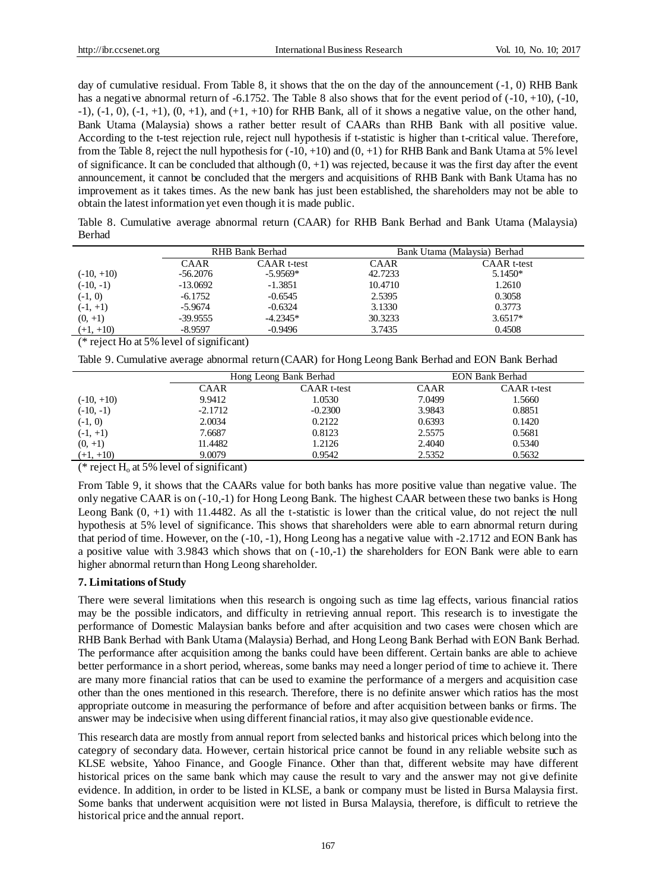day of cumulative residual. From Table 8, it shows that the on the day of the announcement (-1, 0) RHB Bank has a negative abnormal return of  $-6.1752$ . The Table 8 also shows that for the event period of  $(-10, +10)$ ,  $(-10,$  $-1$ ),  $(-1, 0)$ ,  $(-1, +1)$ ,  $(0, +1)$ , and  $(+1, +10)$  for RHB Bank, all of it shows a negative value, on the other hand, Bank Utama (Malaysia) shows a rather better result of CAARs than RHB Bank with all positive value. According to the t-test rejection rule, reject null hypothesis if t-statistic is higher than t-critical value. Therefore, from the Table 8, reject the null hypothesis for  $(-10, +10)$  and  $(0, +1)$  for RHB Bank and Bank Utama at 5% level of significance. It can be concluded that although  $(0, +1)$  was rejected, because it was the first day after the event announcement, it cannot be concluded that the mergers and acquisitions of RHB Bank with Bank Utama has no improvement as it takes times. As the new bank has just been established, the shareholders may not be able to obtain the latest information yet even though it is made public.

Table 8. Cumulative average abnormal return (CAAR) for RHB Bank Berhad and Bank Utama (Malaysia) Berhad

|              |            | RHB Bank Berhad    | Bank Utama (Malaysia) Berhad |                    |  |
|--------------|------------|--------------------|------------------------------|--------------------|--|
|              | CAAR       | <b>CAAR</b> t-test | <b>CAAR</b>                  | <b>CAAR</b> t-test |  |
| $(-10, +10)$ | $-56.2076$ | $-5.9569*$         | 42.7233                      | $5.1450*$          |  |
| $(-10, -1)$  | $-13.0692$ | $-1.3851$          | 10.4710                      | 1.2610             |  |
| $(-1, 0)$    | $-6.1752$  | $-0.6545$          | 2.5395                       | 0.3058             |  |
| $(-1, +1)$   | $-5.9674$  | $-0.6324$          | 3.1330                       | 0.3773             |  |
| $(0, +1)$    | $-39.9555$ | $-4.2345*$         | 30.3233                      | $3.6517*$          |  |
| $(+1, +10)$  | $-8.9597$  | $-0.9496$          | 3.7435                       | 0.4508             |  |

(\* reject Ho at 5% level of significant)

Table 9. Cumulative average abnormal return (CAAR) for Hong Leong Bank Berhad and EON Bank Berhad

|              | Hong Leong Bank Berhad |                    |             | <b>EON Bank Berhad</b> |  |
|--------------|------------------------|--------------------|-------------|------------------------|--|
|              | <b>CAAR</b>            | <b>CAAR</b> t-test | <b>CAAR</b> | <b>CAAR</b> t-test     |  |
| $(-10, +10)$ | 9.9412                 | 1.0530             | 7.0499      | 1.5660                 |  |
| $(-10, -1)$  | $-2.1712$              | $-0.2300$          | 3.9843      | 0.8851                 |  |
| $(-1, 0)$    | 2.0034                 | 0.2122             | 0.6393      | 0.1420                 |  |
| $(-1, +1)$   | 7.6687                 | 0.8123             | 2.5575      | 0.5681                 |  |
| $(0, +1)$    | 11.4482                | 1.2126             | 2.4040      | 0.5340                 |  |
| $(+1, +10)$  | 9.0079                 | 0.9542             | 2.5352      | 0.5632                 |  |

(\* reject  $H_0$  at 5% level of significant)

From Table 9, it shows that the CAARs value for both banks has more positive value than negative value. The only negative CAAR is on (-10,-1) for Hong Leong Bank. The highest CAAR between these two banks is Hong Leong Bank  $(0, +1)$  with 11.4482. As all the t-statistic is lower than the critical value, do not reject the null hypothesis at 5% level of significance. This shows that shareholders were able to earn abnormal return during that period of time. However, on the (-10, -1), Hong Leong has a negative value with -2.1712 and EON Bank has a positive value with 3.9843 which shows that on (-10,-1) the shareholders for EON Bank were able to earn higher abnormal return than Hong Leong shareholder.

## **7. Limitations of Study**

There were several limitations when this research is ongoing such as time lag effects, various financial ratios may be the possible indicators, and difficulty in retrieving annual report. This research is to investigate the performance of Domestic Malaysian banks before and after acquisition and two cases were chosen which are RHB Bank Berhad with Bank Utama (Malaysia) Berhad, and Hong Leong Bank Berhad with EON Bank Berhad. The performance after acquisition among the banks could have been different. Certain banks are able to achieve better performance in a short period, whereas, some banks may need a longer period of time to achieve it. There are many more financial ratios that can be used to examine the performance of a mergers and acquisition case other than the ones mentioned in this research. Therefore, there is no definite answer which ratios has the most appropriate outcome in measuring the performance of before and after acquisition between banks or firms. The answer may be indecisive when using different financial ratios, it may also give questionable evidence.

This research data are mostly from annual report from selected banks and historical prices which belong into the category of secondary data. However, certain historical price cannot be found in any reliable website such as KLSE website, Yahoo Finance, and Google Finance. Other than that, different website may have different historical prices on the same bank which may cause the result to vary and the answer may not give definite evidence. In addition, in order to be listed in KLSE, a bank or company must be listed in Bursa Malaysia first. Some banks that underwent acquisition were not listed in Bursa Malaysia, therefore, is difficult to retrieve the historical price and the annual report.